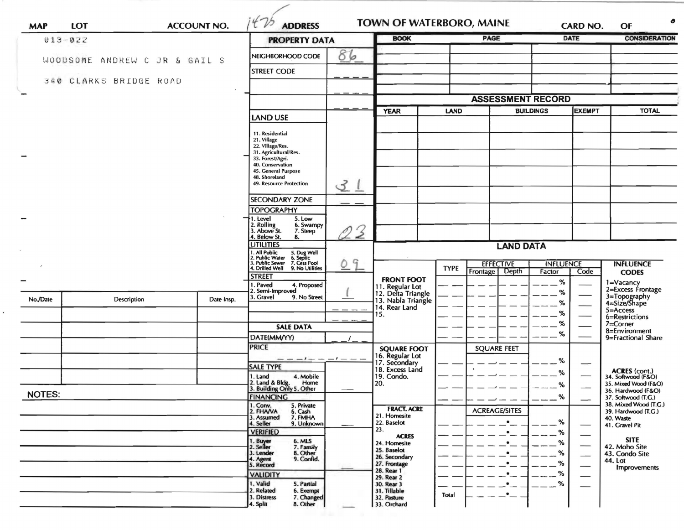| <b>MAP</b>    | LOT                           |  | <b>ACCOUNT NO.</b> | 475<br><b>ADDRESS</b>                                                                                                                 |               | <b>TOWN OF WATERBORO, MAINE</b>            |                                 |                          |                  | CARD NO.      | ●<br>OF                                                     |
|---------------|-------------------------------|--|--------------------|---------------------------------------------------------------------------------------------------------------------------------------|---------------|--------------------------------------------|---------------------------------|--------------------------|------------------|---------------|-------------------------------------------------------------|
|               | $013 - 022$                   |  |                    | <b>PROPERTY DATA</b>                                                                                                                  |               | <b>BOOK</b>                                |                                 | <b>PAGE</b>              |                  | <b>DATE</b>   | <b>CONSIDERATION</b>                                        |
|               | WOODSOME ANDREW C JR & GAIL S |  |                    | NEIGHBORHOOD CODE                                                                                                                     | 86            |                                            |                                 |                          |                  |               |                                                             |
|               |                               |  |                    | <b>STREET CODE</b>                                                                                                                    |               |                                            |                                 |                          |                  |               |                                                             |
|               | 340 CLARKS BRIDGE ROAD        |  |                    |                                                                                                                                       |               |                                            |                                 |                          |                  |               |                                                             |
|               |                               |  |                    |                                                                                                                                       |               |                                            |                                 | <b>ASSESSMENT RECORD</b> |                  |               |                                                             |
|               |                               |  |                    |                                                                                                                                       |               | <b>YEAR</b>                                | <b>LAND</b>                     |                          | <b>BUILDINGS</b> | <b>EXEMPT</b> | <b>TOTAL</b>                                                |
|               |                               |  |                    | <b>LAND USE</b>                                                                                                                       |               |                                            |                                 |                          |                  |               |                                                             |
|               |                               |  |                    | 11. Residential<br>21. Village<br>22. Village/Res.<br>31. Agricultural/Res.                                                           |               |                                            |                                 |                          |                  |               |                                                             |
|               |                               |  |                    | 33. Forest/Agri.<br>40. Conservation                                                                                                  |               |                                            |                                 |                          |                  |               |                                                             |
|               |                               |  |                    | 45. General Purpose<br>48. Shoreland<br>49. Resource Protection                                                                       |               |                                            |                                 |                          |                  |               |                                                             |
|               |                               |  |                    |                                                                                                                                       | 31            |                                            |                                 |                          |                  |               |                                                             |
|               |                               |  |                    | <b>SECONDARY ZONE</b><br><b>TOPOGRAPHY</b>                                                                                            |               |                                            |                                 |                          |                  |               |                                                             |
|               |                               |  |                    | 5. Low<br>→1. Level<br>6. Swampy                                                                                                      |               |                                            |                                 |                          |                  |               |                                                             |
|               |                               |  |                    | 2. Rolling<br>3. Above St.<br>7. Steep<br>4. Below St.<br>8.                                                                          | $\mathcal{Z}$ |                                            |                                 |                          |                  |               |                                                             |
|               |                               |  |                    | <b>UTILITIES</b>                                                                                                                      |               | <b>LAND DATA</b>                           |                                 |                          |                  |               |                                                             |
|               |                               |  |                    | 1. All Public<br>2. Public Water<br>3. Public Sewer<br>4. Drilled Well<br>5. Dug Well<br>6. Septic<br>7. Cess Pool<br>9. No Utilities | G             |                                            | <b>EFFECTIVE</b><br><b>TYPE</b> |                          | <b>INFLUENCE</b> |               | <b>INFLUENCE</b>                                            |
|               |                               |  |                    | <b>STREET</b>                                                                                                                         |               | <b>FRONT FOOT</b>                          |                                 | Depth<br>Frontage        | Factor           | Code          | <b>CODES</b>                                                |
|               |                               |  |                    | 1. Paved<br>4. Proposed<br>2. Semi-Improved                                                                                           |               | 11. Regular Lot<br>12. Delta Triangle      |                                 |                          | %<br>%           |               | 1=Vacancy<br>2=Excess Frontage                              |
| No./Date      | Description                   |  | Date Insp.         | 3. Gravel<br>9. No Street                                                                                                             |               | 13. Nabla Triangle<br>14. Rear Land        |                                 |                          | %                |               | 3=Topography<br>4=Size/Shape                                |
|               |                               |  |                    |                                                                                                                                       |               | 15.                                        |                                 |                          | %                |               | $5 =$ Access<br>6=Restrictions                              |
|               |                               |  |                    | <b>SALE DATA</b>                                                                                                                      |               |                                            |                                 |                          | %<br>%           |               | $7 =$ Corner<br>8=Environment                               |
|               |                               |  |                    | DATE(MM/YY)<br><b>PRICE</b>                                                                                                           |               |                                            |                                 |                          |                  |               | 9=Fractional Share                                          |
|               |                               |  |                    |                                                                                                                                       |               | <b>SQUARE FOOT</b><br>16. Regular Lot      |                                 | <b>SQUARE FEET</b>       |                  |               |                                                             |
|               |                               |  |                    | <b>SALE TYPE</b>                                                                                                                      |               | 17. Secondary<br>18. Excess Land           |                                 |                          | %<br>℅           |               |                                                             |
|               |                               |  |                    | 4. Mobile<br>1. Land<br>2. Land & Bldg. Home<br>3. Building Only 5. Other<br>Home                                                     |               | 19. Condo.<br>20.                          |                                 |                          | ℅                |               | ACRES (cont.)<br>34. Softwood (F&O)<br>35. Mixed Wood (F&O) |
| <b>NOTES:</b> |                               |  |                    | <b>FINANCING</b>                                                                                                                      |               |                                            |                                 |                          | %                |               | 36. Hardwood (F&O)<br>37. Softwood (T.G.)                   |
|               |                               |  |                    | 1. Conv.<br>5. Private<br>2. FHAVA<br>6. Cash                                                                                         |               | <b>FRACT. ACRE</b>                         |                                 | <b>ACREAGE/SITES</b>     |                  |               | 38. Mixed Wood (T.G.)<br>39. Hardwood (T.G.)                |
|               |                               |  |                    | 3. Assumed<br>7. FMHA<br>4. Seller<br>9. Unknown                                                                                      |               | 21. Homesite<br>22. Baselot                |                                 | $\bullet$                | %                |               | 40. Waste<br>41. Gravel Pit                                 |
|               |                               |  |                    | <b>VERIFIED</b>                                                                                                                       |               | 23.<br><b>ACRES</b>                        |                                 |                          | %                |               |                                                             |
|               |                               |  |                    | 1. Buyer<br>2. Seller<br>6. MLS<br>7. Family                                                                                          |               | 24. Homesite<br>25. Baselot                |                                 |                          | ℅                |               | <b>SITE</b><br>42. Moho Site                                |
|               |                               |  |                    | 3. Lender<br>8. Other<br>9. Confid.<br>4. Agent<br>5. Record                                                                          |               | 26. Secondary<br>27. Frontage              |                                 |                          | %<br>%           |               | 43. Condo Site<br>44. Lot                                   |
|               |                               |  |                    | <b>VALIDITY</b>                                                                                                                       |               | 28. Rear 1<br>29. Rear 2                   |                                 |                          | %                |               | <b>Improvements</b>                                         |
|               |                               |  |                    | 1. Valid<br>5. Partial                                                                                                                |               | 30. Rear 3                                 |                                 |                          | %                |               |                                                             |
|               |                               |  |                    | 2. Related<br>6. Exempt<br>3. Distress<br>7. Changed<br>4. Split<br>8. Other                                                          |               | 31. Tillable<br>32. Pasture<br>33. Orchard | Total                           |                          |                  |               |                                                             |